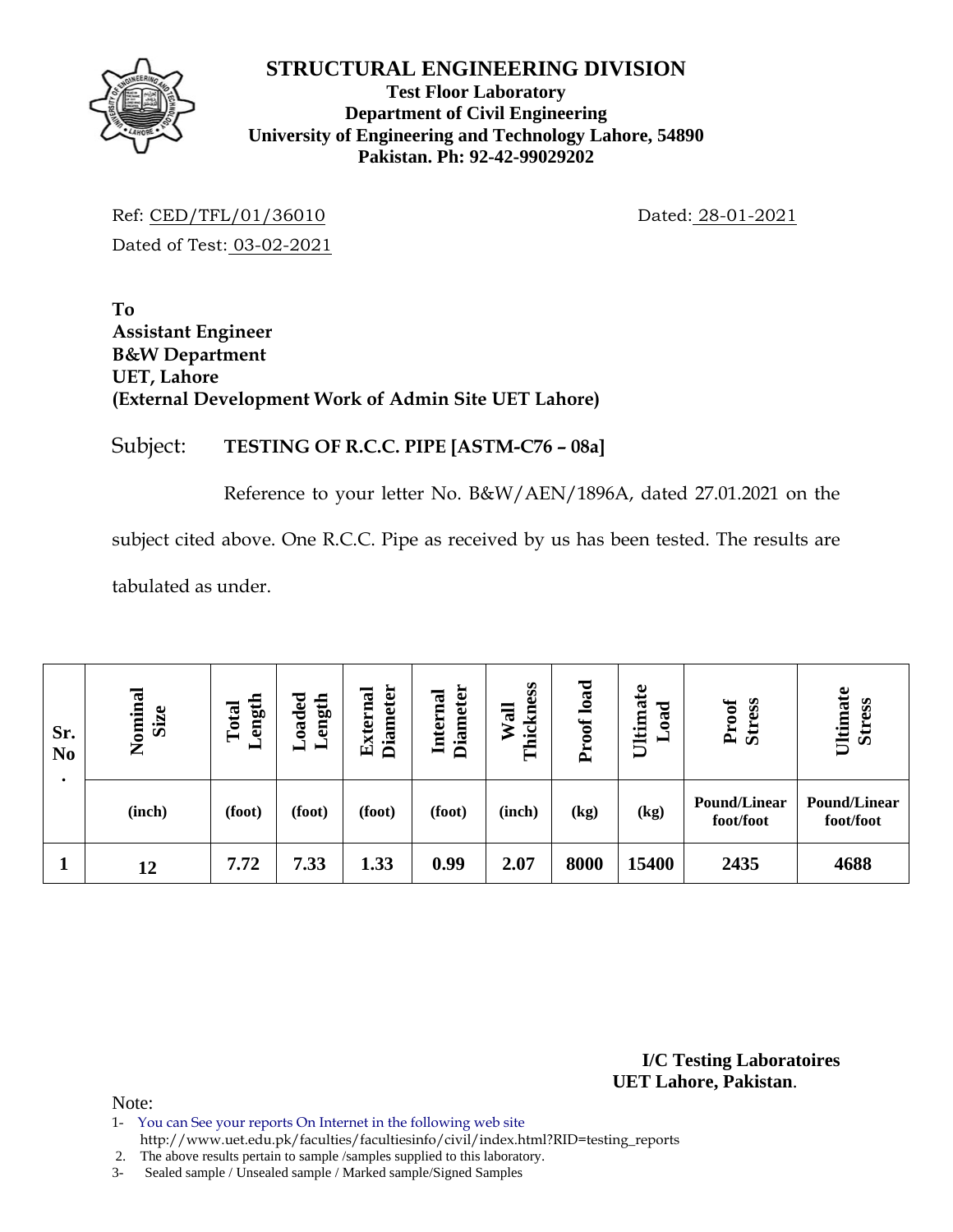

**Test Floor Laboratory Department of Civil Engineering University of Engineering and Technology Lahore, 54890 Pakistan. Ph: 92-42-99029202** 

Ref: CED/TFL/01/36010 Dated: 28-01-2021 Dated of Test: 03-02-2021

**To Assistant Engineer B&W Department UET, Lahore (External Development Work of Admin Site UET Lahore)** 

### Subject: **TESTING OF R.C.C. PIPE [ASTM-C76 – 08a]**

Reference to your letter No. B&W/AEN/1896A, dated 27.01.2021 on the

subject cited above. One R.C.C. Pipe as received by us has been tested. The results are

tabulated as under.

| Sr.<br>N <sub>0</sub> | Nominal<br>Size | ength<br>Total<br>▬ | $\rm Loaded$<br>ength | <b>Diameter</b><br>External | <b>Diameter</b><br>Internal | Thickness<br>Wall | load<br>$\mathbf{C}$<br>Ě | Ultimate<br>ರ<br>$\tilde{a}$ | Proof<br><b>Stress</b>           | Ultimate<br><b>Stress</b>        |
|-----------------------|-----------------|---------------------|-----------------------|-----------------------------|-----------------------------|-------------------|---------------------------|------------------------------|----------------------------------|----------------------------------|
|                       | (inch)          | (foot)              | (foot)                | (foot)                      | (foot)                      | (inch)            | (kg)                      | (kg)                         | <b>Pound/Linear</b><br>foot/foot | <b>Pound/Linear</b><br>foot/foot |
|                       | 12              | 7.72                | 7.33                  | 1.33                        | 0.99                        | 2.07              | 8000                      | 15400                        | 2435                             | 4688                             |

**I/C Testing Laboratoires UET Lahore, Pakistan**.

- 1- You can See your reports On Internet in the following web site
- http://www.uet.edu.pk/faculties/facultiesinfo/civil/index.html?RID=testing\_reports
- 2. The above results pertain to sample /samples supplied to this laboratory.
- 3- Sealed sample / Unsealed sample / Marked sample/Signed Samples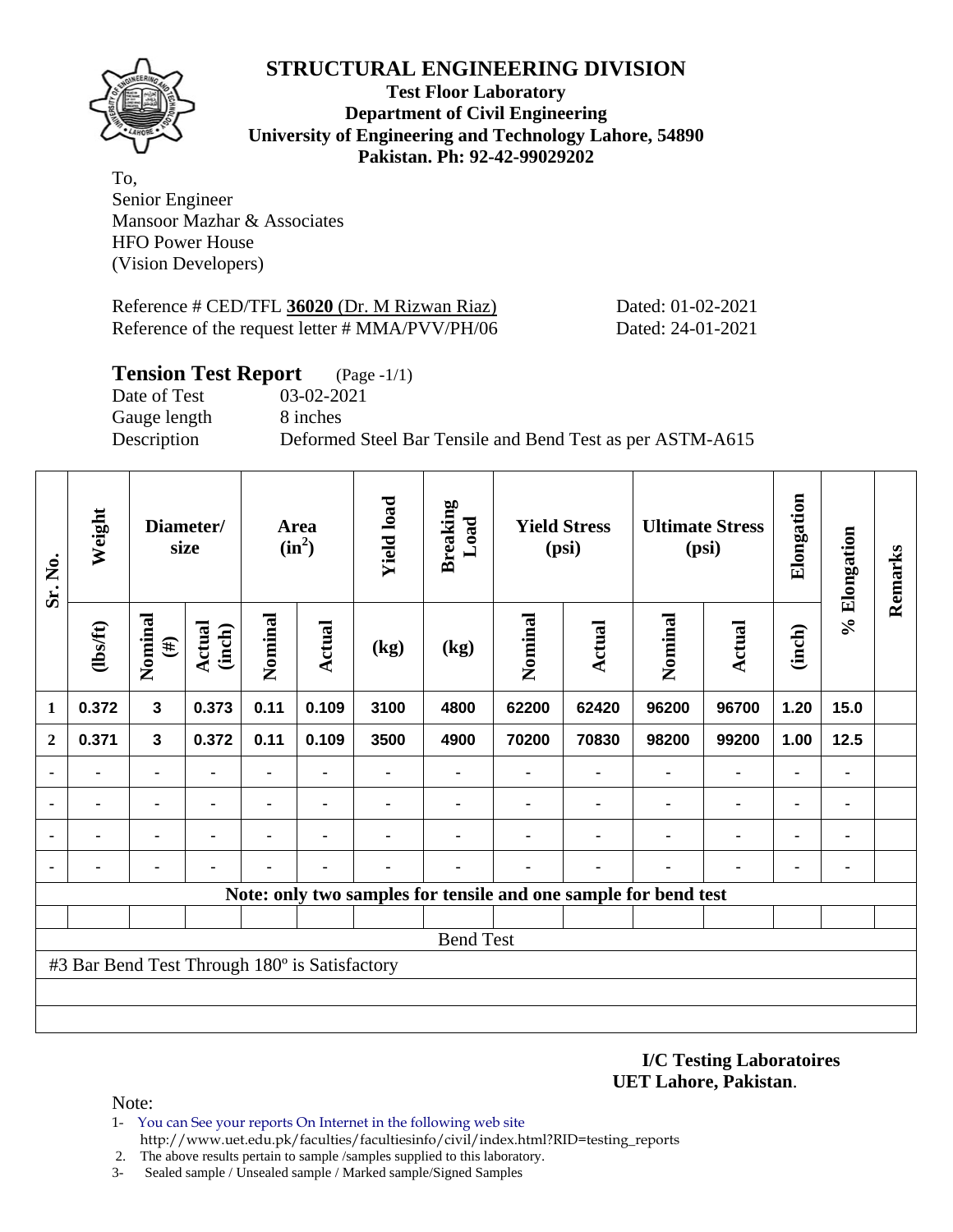

**Test Floor Laboratory Department of Civil Engineering University of Engineering and Technology Lahore, 54890 Pakistan. Ph: 92-42-99029202** 

To, Senior Engineer Mansoor Mazhar & Associates HFO Power House (Vision Developers)

Reference # CED/TFL 36020 (Dr. M Rizwan Riaz) Dated: 01-02-2021 Reference of the request letter # MMA/PVV/PH/06 Dated: 24-01-2021

| <b>Tension Test Report</b> | $(Page - 1/1)$                                            |
|----------------------------|-----------------------------------------------------------|
| Date of Test               | 03-02-2021                                                |
| Gauge length               | 8 inches                                                  |
| Description                | Deformed Steel Bar Tensile and Bend Test as per ASTM-A615 |
|                            |                                                           |

| Sr. No.      | Weight                                        |                   | Diameter/<br>size       |         | Area<br>$(in^2)$ | <b>Yield load</b> | <b>Breaking</b><br>Load | <b>Yield Stress</b><br>(psi)                                    |        | <b>Ultimate Stress</b><br>(psi) |               | Elongation     | % Elongation | Remarks |
|--------------|-----------------------------------------------|-------------------|-------------------------|---------|------------------|-------------------|-------------------------|-----------------------------------------------------------------|--------|---------------------------------|---------------|----------------|--------------|---------|
|              | (1bsft)                                       | Nominal<br>$(\#)$ | <b>Actual</b><br>(inch) | Nominal | Actual           | (kg)              | (kg)                    | Nominal                                                         | Actual | Nominal                         | <b>Actual</b> | (inch)         |              |         |
| 1            | 0.372                                         | $\mathbf{3}$      | 0.373                   | 0.11    | 0.109            | 3100              | 4800                    | 62200                                                           | 62420  | 96200                           | 96700         | 1.20           | 15.0         |         |
| $\mathbf{2}$ | 0.371                                         | $\mathbf{3}$      | 0.372                   | 0.11    | 0.109            | 3500              | 4900                    | 70200                                                           | 70830  | 98200                           | 99200         | 1.00           | 12.5         |         |
|              | $\blacksquare$                                |                   |                         | ۰       |                  |                   |                         |                                                                 |        | $\blacksquare$                  | ۰             | ۰              |              |         |
|              | $\blacksquare$                                |                   |                         | ۰       |                  |                   |                         |                                                                 |        |                                 | ۰             | $\blacksquare$ | ۰            |         |
|              |                                               |                   |                         |         | ٠                |                   |                         |                                                                 |        |                                 | ۰             | $\blacksquare$ | ۰            |         |
|              |                                               |                   |                         |         |                  |                   |                         |                                                                 |        |                                 |               |                |              |         |
|              |                                               |                   |                         |         |                  |                   |                         | Note: only two samples for tensile and one sample for bend test |        |                                 |               |                |              |         |
|              |                                               |                   |                         |         |                  |                   |                         |                                                                 |        |                                 |               |                |              |         |
|              |                                               |                   |                         |         |                  |                   | <b>Bend Test</b>        |                                                                 |        |                                 |               |                |              |         |
|              | #3 Bar Bend Test Through 180° is Satisfactory |                   |                         |         |                  |                   |                         |                                                                 |        |                                 |               |                |              |         |
|              |                                               |                   |                         |         |                  |                   |                         |                                                                 |        |                                 |               |                |              |         |
|              |                                               |                   |                         |         |                  |                   |                         |                                                                 |        |                                 |               |                |              |         |

**I/C Testing Laboratoires UET Lahore, Pakistan**.

- 1- You can See your reports On Internet in the following web site http://www.uet.edu.pk/faculties/facultiesinfo/civil/index.html?RID=testing\_reports
- 2. The above results pertain to sample /samples supplied to this laboratory.
- 3- Sealed sample / Unsealed sample / Marked sample/Signed Samples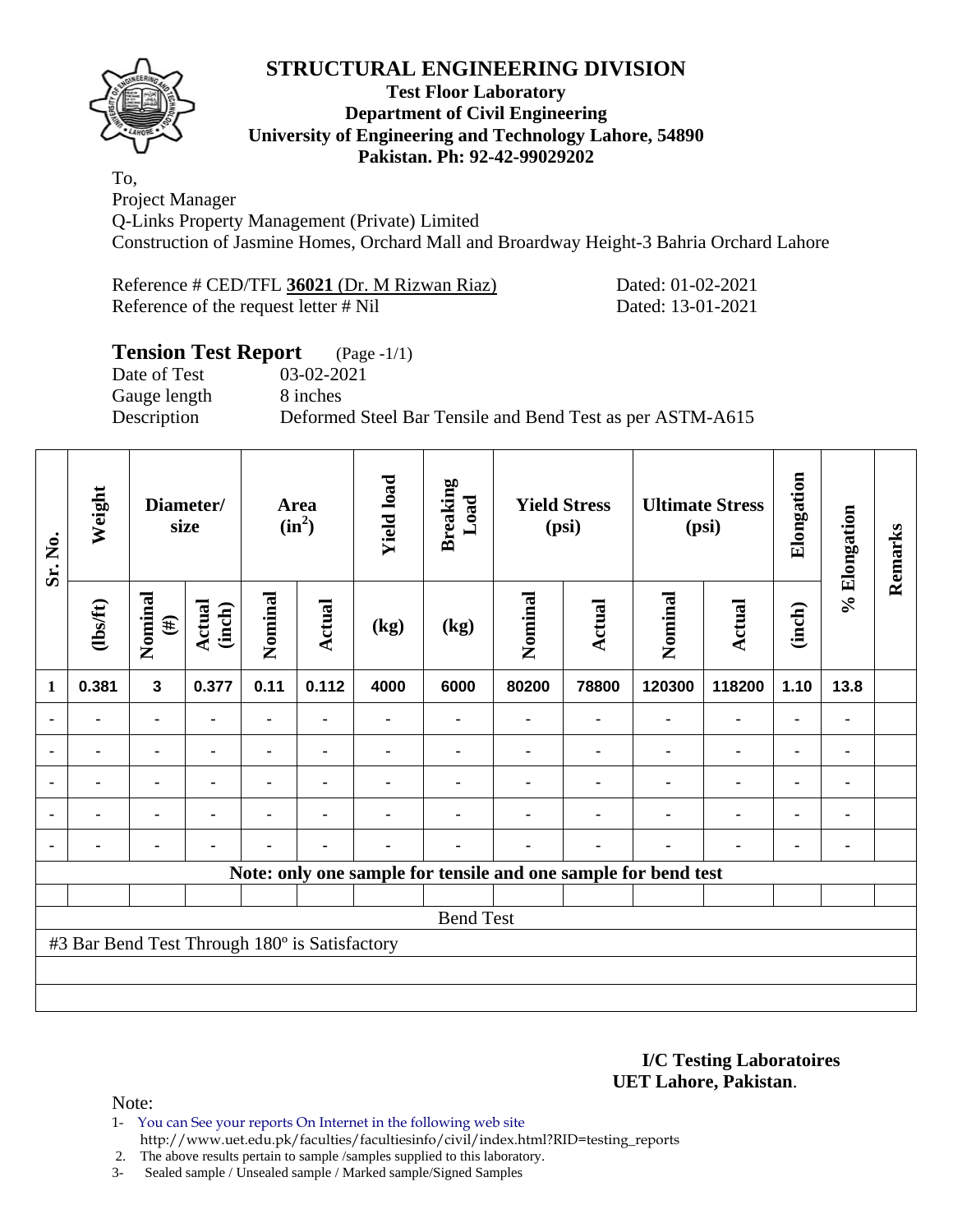

#### **Test Floor Laboratory Department of Civil Engineering University of Engineering and Technology Lahore, 54890 Pakistan. Ph: 92-42-99029202**

To, Project Manager Q-Links Property Management (Private) Limited Construction of Jasmine Homes, Orchard Mall and Broardway Height-3 Bahria Orchard Lahore

Reference # CED/TFL 36021 (Dr. M Rizwan Riaz) Dated: 01-02-2021 Reference of the request letter # Nil Dated: 13-01-2021

# **Tension Test Report** (Page -1/1)

Date of Test 03-02-2021 Gauge length 8 inches

Description Deformed Steel Bar Tensile and Bend Test as per ASTM-A615

| Sr. No.        | Weight                                        | Diameter/<br>size       |                         | <b>Area</b><br>$(in^2)$ |                | <b>Yield load</b> | <b>Breaking</b><br>Load                                        | <b>Yield Stress</b><br>(psi) |               | <b>Ultimate Stress</b><br>(psi) |                | Elongation     | % Elongation   | Remarks |
|----------------|-----------------------------------------------|-------------------------|-------------------------|-------------------------|----------------|-------------------|----------------------------------------------------------------|------------------------------|---------------|---------------------------------|----------------|----------------|----------------|---------|
|                | (1bsft)                                       | Nominal<br>$(\#)$       | <b>Actual</b><br>(inch) | Nominal                 | Actual         | (kg)              | (kg)                                                           | Nominal                      | <b>Actual</b> | Nominal                         | <b>Actual</b>  | (inch)         |                |         |
| 1              | 0.381                                         | $\overline{\mathbf{3}}$ | 0.377                   | 0.11                    | 0.112          | 4000              | 6000                                                           | 80200                        | 78800         | 120300                          | 118200         | 1.10           | 13.8           |         |
|                | ۰                                             | $\blacksquare$          | $\blacksquare$          | ۰                       | $\blacksquare$ |                   | -                                                              | ۰                            | ۰             | ٠                               | $\blacksquare$ | $\blacksquare$ | $\blacksquare$ |         |
|                |                                               | ۰                       |                         | ۰                       | $\blacksquare$ |                   | $\blacksquare$                                                 |                              |               |                                 | ۰              | $\blacksquare$ | ٠              |         |
|                |                                               | ٠                       |                         |                         | ٠              |                   |                                                                |                              |               |                                 |                | $\blacksquare$ | $\blacksquare$ |         |
| ٠              | ٠                                             | ۰                       |                         |                         | $\blacksquare$ |                   |                                                                |                              |               | $\blacksquare$                  | $\blacksquare$ | $\blacksquare$ | ۰              |         |
| $\blacksquare$ |                                               | ٠                       |                         |                         | $\blacksquare$ |                   |                                                                |                              |               | $\blacksquare$                  | $\blacksquare$ | $\blacksquare$ | ۰              |         |
|                |                                               |                         |                         |                         |                |                   | Note: only one sample for tensile and one sample for bend test |                              |               |                                 |                |                |                |         |
|                |                                               |                         |                         |                         |                |                   |                                                                |                              |               |                                 |                |                |                |         |
|                |                                               |                         |                         |                         |                |                   | <b>Bend Test</b>                                               |                              |               |                                 |                |                |                |         |
|                | #3 Bar Bend Test Through 180° is Satisfactory |                         |                         |                         |                |                   |                                                                |                              |               |                                 |                |                |                |         |
|                |                                               |                         |                         |                         |                |                   |                                                                |                              |               |                                 |                |                |                |         |
|                |                                               |                         |                         |                         |                |                   |                                                                |                              |               |                                 |                |                |                |         |

**I/C Testing Laboratoires UET Lahore, Pakistan**.

Note:

1- You can See your reports On Internet in the following web site http://www.uet.edu.pk/faculties/facultiesinfo/civil/index.html?RID=testing\_reports

2. The above results pertain to sample /samples supplied to this laboratory.

3- Sealed sample / Unsealed sample / Marked sample/Signed Samples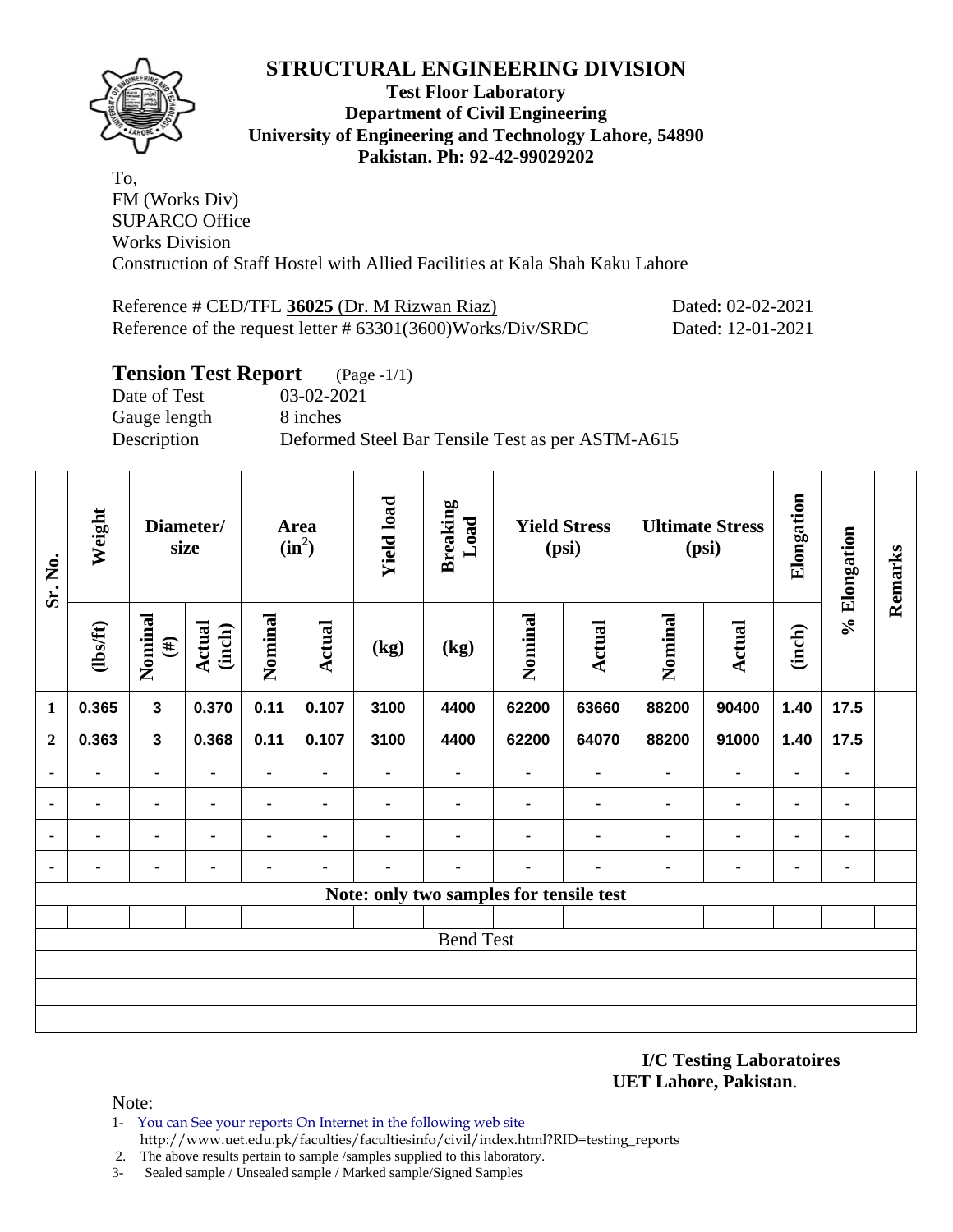

#### **Test Floor Laboratory Department of Civil Engineering University of Engineering and Technology Lahore, 54890 Pakistan. Ph: 92-42-99029202**

To, FM (Works Div) SUPARCO Office Works Division Construction of Staff Hostel with Allied Facilities at Kala Shah Kaku Lahore

| Reference # CED/TFL 36025 (Dr. M Rizwan Riaz)               | Dated: 02-02-2021 |
|-------------------------------------------------------------|-------------------|
| Reference of the request letter # 63301(3600)Works/Div/SRDC | Dated: 12-01-2021 |

## **Tension Test Report** (Page -1/1)

Date of Test 03-02-2021 Gauge length 8 inches

Description Deformed Steel Bar Tensile Test as per ASTM-A615

| Sr. No.        | Weight<br>Diameter/<br>size |                         | Area<br>$(in^2)$        |                | <b>Yield load</b> | <b>Breaking</b><br>Load | <b>Yield Stress</b><br>(psi)            |                          | <b>Ultimate Stress</b><br>(psi) |                | Elongation     | % Elongation   | Remarks |  |
|----------------|-----------------------------|-------------------------|-------------------------|----------------|-------------------|-------------------------|-----------------------------------------|--------------------------|---------------------------------|----------------|----------------|----------------|---------|--|
|                | $\frac{2}{10}$              | Nominal<br>$(\#)$       | <b>Actual</b><br>(inch) | Nominal        | Actual            | (kg)                    | (kg)                                    | Nominal                  | Actual                          | Nominal        | <b>Actual</b>  | (inch)         |         |  |
| 1              | 0.365                       | $\mathbf{3}$            | 0.370                   | 0.11           | 0.107             | 3100                    | 4400                                    | 62200                    | 63660                           | 88200          | 90400          | 1.40           | 17.5    |  |
| $\mathbf{2}$   | 0.363                       | $\overline{\mathbf{3}}$ | 0.368                   | 0.11           | 0.107             | 3100                    | 4400                                    | 62200                    | 64070                           | 88200          | 91000          | 1.40           | 17.5    |  |
| $\blacksquare$ |                             | ۰                       |                         | $\blacksquare$ |                   |                         |                                         | ۰                        | ۰                               |                | $\blacksquare$ |                | ۰       |  |
| $\blacksquare$ | $\blacksquare$              | $\blacksquare$          | $\blacksquare$          | $\blacksquare$ | $\blacksquare$    | ۰                       |                                         | $\blacksquare$           | $\blacksquare$                  |                | $\blacksquare$ | ۰              | ٠       |  |
| $\blacksquare$ | ۰                           | $\blacksquare$          | $\blacksquare$          | ۰              | $\blacksquare$    | ۰                       | $\blacksquare$                          |                          | ۰                               | $\blacksquare$ | $\blacksquare$ | $\blacksquare$ | ٠       |  |
| $\blacksquare$ | ٠                           | ۰                       | $\blacksquare$          | ۰              | ٠                 |                         |                                         | $\overline{\phantom{a}}$ |                                 |                | $\blacksquare$ | ٠              | ۰       |  |
|                |                             |                         |                         |                |                   |                         | Note: only two samples for tensile test |                          |                                 |                |                |                |         |  |
|                |                             |                         |                         |                |                   |                         |                                         |                          |                                 |                |                |                |         |  |
|                |                             |                         |                         |                |                   |                         | <b>Bend Test</b>                        |                          |                                 |                |                |                |         |  |
|                |                             |                         |                         |                |                   |                         |                                         |                          |                                 |                |                |                |         |  |
|                |                             |                         |                         |                |                   |                         |                                         |                          |                                 |                |                |                |         |  |
|                |                             |                         |                         |                |                   |                         |                                         |                          |                                 |                |                |                |         |  |

**I/C Testing Laboratoires UET Lahore, Pakistan**.

- 1- You can See your reports On Internet in the following web site http://www.uet.edu.pk/faculties/facultiesinfo/civil/index.html?RID=testing\_reports
- 2. The above results pertain to sample /samples supplied to this laboratory.
- 3- Sealed sample / Unsealed sample / Marked sample/Signed Samples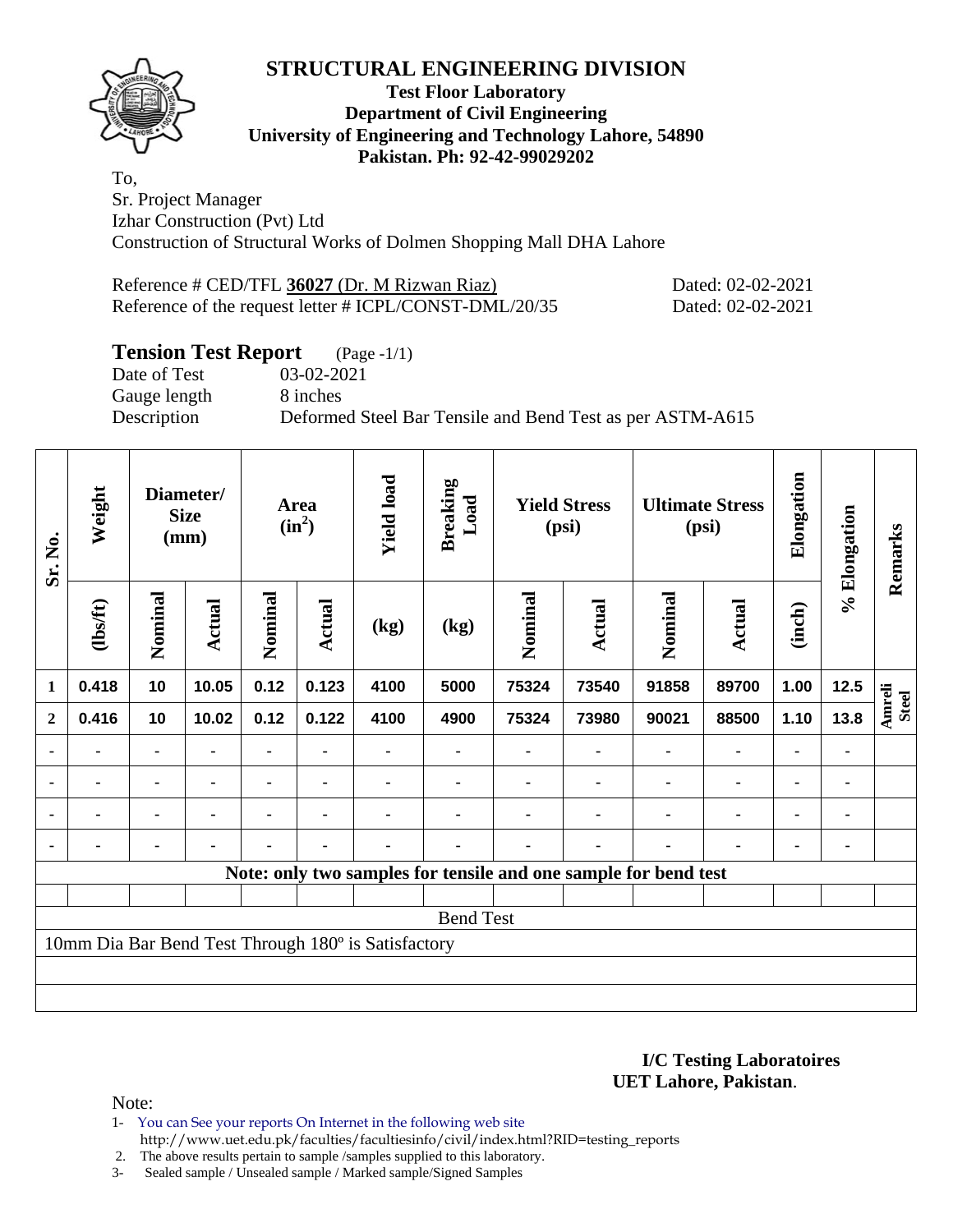

### **Test Floor Laboratory Department of Civil Engineering University of Engineering and Technology Lahore, 54890 Pakistan. Ph: 92-42-99029202**

To, Sr. Project Manager Izhar Construction (Pvt) Ltd Construction of Structural Works of Dolmen Shopping Mall DHA Lahore

Reference # CED/TFL **36027** (Dr. M Rizwan Riaz) Dated: 02-02-2021 Reference of the request letter # ICPL/CONST-DML/20/35 Dated: 02-02-2021

## **Tension Test Report** (Page -1/1)

Gauge length 8 inches

Date of Test 03-02-2021 Description Deformed Steel Bar Tensile and Bend Test as per ASTM-A615

| Sr. No.        | Weight         |                | Diameter/<br><b>Size</b><br>(mm) |         | <b>Area</b><br>$(in^2)$ | <b>Yield load</b>                                   | <b>Breaking</b><br>Load | <b>Yield Stress</b><br>(psi) |                |                                                                 | <b>Ultimate Stress</b><br>(psi) | Elongation     |              | Remarks                       |
|----------------|----------------|----------------|----------------------------------|---------|-------------------------|-----------------------------------------------------|-------------------------|------------------------------|----------------|-----------------------------------------------------------------|---------------------------------|----------------|--------------|-------------------------------|
|                | (1bsft)        | Nominal        | <b>Actual</b>                    | Nominal | Actual                  | (kg)                                                | (kg)                    | Nominal                      | Actual         | Nominal                                                         | <b>Actual</b>                   | (inch)         | % Elongation |                               |
| $\mathbf{1}$   | 0.418          | 10             | 10.05                            | 0.12    | 0.123                   | 4100                                                | 5000                    | 75324                        | 73540          | 91858                                                           | 89700                           | 1.00           | 12.5         |                               |
| $\overline{2}$ | 0.416          | 10             | 10.02                            | 0.12    | 0.122                   | 4100                                                | 4900                    | 75324                        | 73980          | 90021                                                           | 88500                           | 1.10           | 13.8         | <b>Amreli</b><br><b>Steel</b> |
| $\blacksquare$ | $\blacksquare$ | $\blacksquare$ | $\blacksquare$                   |         |                         |                                                     |                         |                              | $\blacksquare$ | $\blacksquare$                                                  | ۰                               | $\blacksquare$ |              |                               |
|                | ۰              | $\blacksquare$ | $\blacksquare$                   | -       | $\blacksquare$          | $\blacksquare$                                      |                         |                              | $\blacksquare$ | $\blacksquare$                                                  | ۰                               | $\blacksquare$ |              |                               |
|                | $\blacksquare$ |                | $\blacksquare$                   | -       |                         |                                                     |                         |                              |                | ٠                                                               | $\blacksquare$                  | ۰              |              |                               |
|                |                | $\blacksquare$ |                                  |         |                         |                                                     |                         |                              | $\blacksquare$ |                                                                 | $\blacksquare$                  | $\blacksquare$ |              |                               |
|                |                |                |                                  |         |                         |                                                     |                         |                              |                | Note: only two samples for tensile and one sample for bend test |                                 |                |              |                               |
|                |                |                |                                  |         |                         |                                                     |                         |                              |                |                                                                 |                                 |                |              |                               |
|                |                |                |                                  |         |                         |                                                     | <b>Bend Test</b>        |                              |                |                                                                 |                                 |                |              |                               |
|                |                |                |                                  |         |                         | 10mm Dia Bar Bend Test Through 180° is Satisfactory |                         |                              |                |                                                                 |                                 |                |              |                               |
|                |                |                |                                  |         |                         |                                                     |                         |                              |                |                                                                 |                                 |                |              |                               |
|                |                |                |                                  |         |                         |                                                     |                         |                              |                |                                                                 |                                 |                |              |                               |

**I/C Testing Laboratoires UET Lahore, Pakistan**.

- 1- You can See your reports On Internet in the following web site http://www.uet.edu.pk/faculties/facultiesinfo/civil/index.html?RID=testing\_reports
- 2. The above results pertain to sample /samples supplied to this laboratory.
- 3- Sealed sample / Unsealed sample / Marked sample/Signed Samples